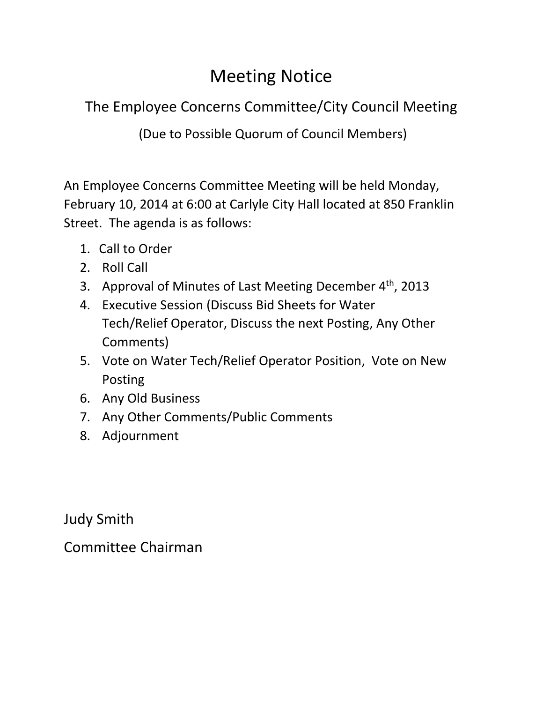The Employee Concerns Committee/City Council Meeting

(Due to Possible Quorum of Council Members)

An Employee Concerns Committee Meeting will be held Monday, February 10, 2014 at 6:00 at Carlyle City Hall located at 850 Franklin Street. The agenda is as follows:

- 1. Call to Order
- 2. Roll Call
- 3. Approval of Minutes of Last Meeting December 4<sup>th</sup>, 2013
- 4. Executive Session (Discuss Bid Sheets for Water Tech/Relief Operator, Discuss the next Posting, Any Other Comments)
- 5. Vote on Water Tech/Relief Operator Position, Vote on New Posting
- 6. Any Old Business
- 7. Any Other Comments/Public Comments
- 8. Adjournment

Judy Smith

Committee Chairman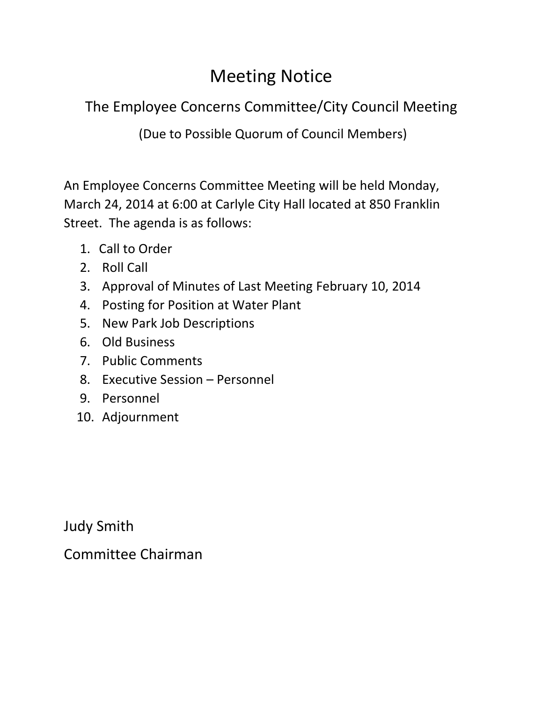The Employee Concerns Committee/City Council Meeting

(Due to Possible Quorum of Council Members)

An Employee Concerns Committee Meeting will be held Monday, March 24, 2014 at 6:00 at Carlyle City Hall located at 850 Franklin Street. The agenda is as follows:

- 1. Call to Order
- 2. Roll Call
- 3. Approval of Minutes of Last Meeting February 10, 2014
- 4. Posting for Position at Water Plant
- 5. New Park Job Descriptions
- 6. Old Business
- 7. Public Comments
- 8. Executive Session Personnel
- 9. Personnel
- 10. Adjournment

Judy Smith

Committee Chairman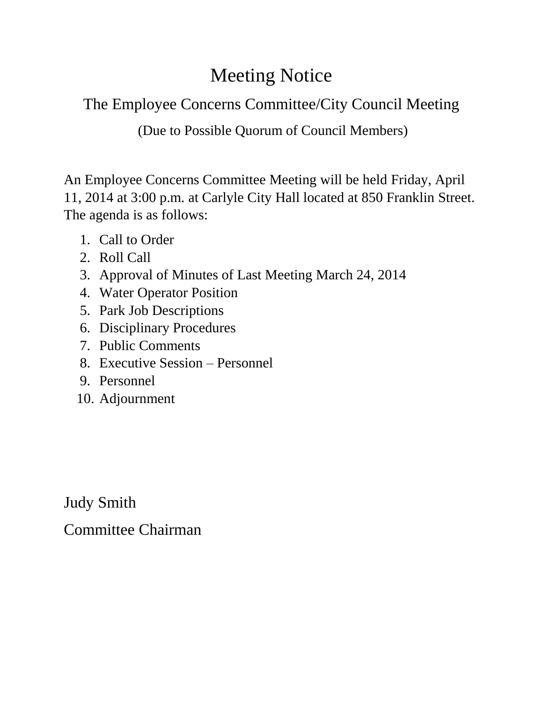The Employee Concerns Committee/City Council Meeting

(Due to Possible Quorum of Council Members)

An Employee Concerns Committee Meeting will be held Friday, April 11, 2014 at 3:00 p.m. at Carlyle City Hall located at 850 Franklin Street. The agenda is as follows:

- 1. Call to Order
- 2. Roll Call
- 3. Approval of Minutes of Last Meeting March 24, 2014
- 4. Water Operator Position
- 5. Park Job Descriptions
- 6. Disciplinary Procedures
- 7. Public Comments
- 8. Executive Session Personnel
- 9. Personnel
- 10. Adjournment

Judy Smith

Committee Chairman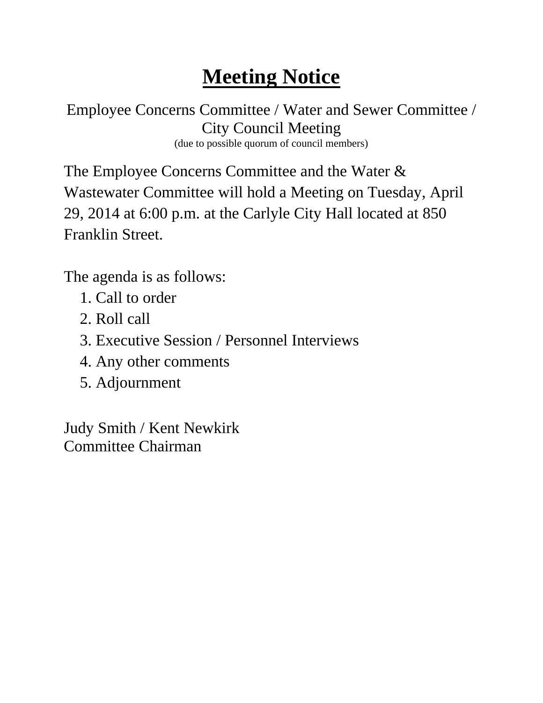Employee Concerns Committee / Water and Sewer Committee / City Council Meeting (due to possible quorum of council members)

The Employee Concerns Committee and the Water & Wastewater Committee will hold a Meeting on Tuesday, April 29, 2014 at 6:00 p.m. at the Carlyle City Hall located at 850 Franklin Street.

The agenda is as follows:

- 1. Call to order
- 2. Roll call
- 3. Executive Session / Personnel Interviews
- 4. Any other comments
- 5. Adjournment

Judy Smith / Kent Newkirk Committee Chairman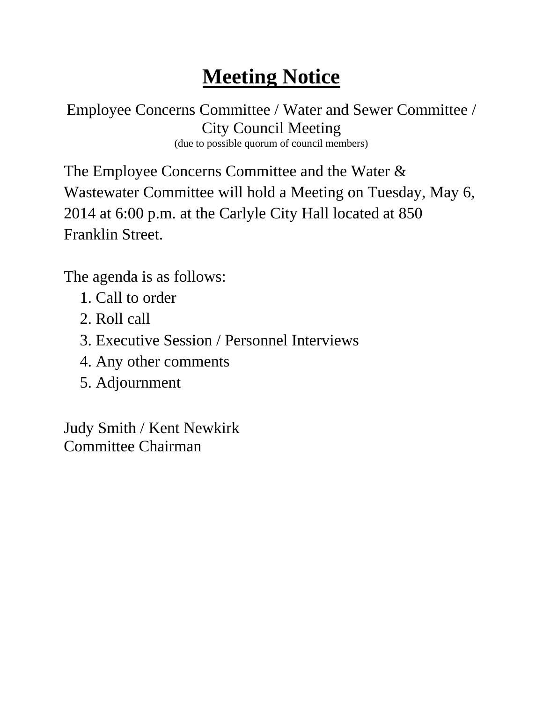Employee Concerns Committee / Water and Sewer Committee / City Council Meeting (due to possible quorum of council members)

The Employee Concerns Committee and the Water & Wastewater Committee will hold a Meeting on Tuesday, May 6, 2014 at 6:00 p.m. at the Carlyle City Hall located at 850 Franklin Street.

The agenda is as follows:

- 1. Call to order
- 2. Roll call
- 3. Executive Session / Personnel Interviews
- 4. Any other comments
- 5. Adjournment

Judy Smith / Kent Newkirk Committee Chairman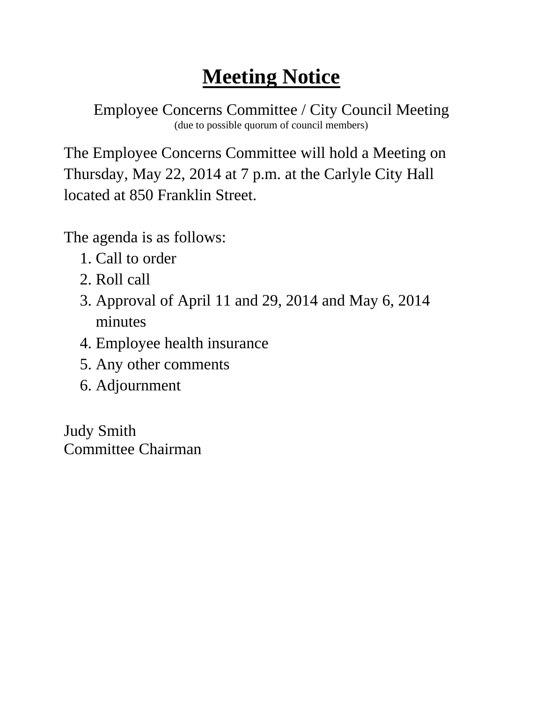Employee Concerns Committee / City Council Meeting (due to possible quorum of council members)

The Employee Concerns Committee will hold a Meeting on Thursday, May 22, 2014 at 7 p.m. at the Carlyle City Hall located at 850 Franklin Street.

The agenda is as follows:

- 1. Call to order
- 2. Roll call
- 3. Approval of April 11 and 29, 2014 and May 6, 2014 minutes
- 4. Employee health insurance
- 5. Any other comments
- 6. Adjournment

Judy Smith Committee Chairman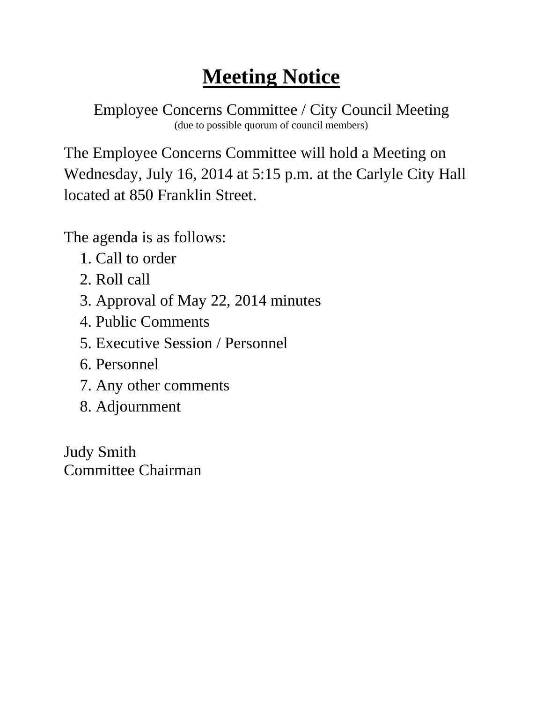Employee Concerns Committee / City Council Meeting (due to possible quorum of council members)

The Employee Concerns Committee will hold a Meeting on Wednesday, July 16, 2014 at 5:15 p.m. at the Carlyle City Hall located at 850 Franklin Street.

The agenda is as follows:

- 1. Call to order
- 2. Roll call
- 3. Approval of May 22, 2014 minutes
- 4. Public Comments
- 5. Executive Session / Personnel
- 6. Personnel
- 7. Any other comments
- 8. Adjournment

Judy Smith Committee Chairman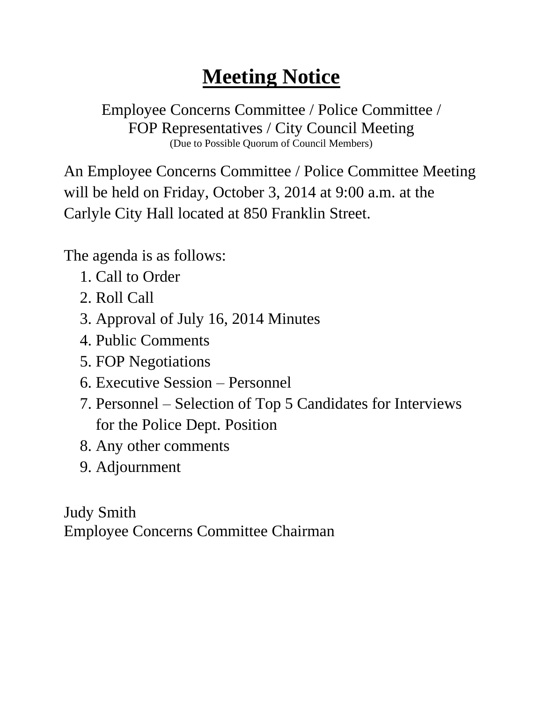Employee Concerns Committee / Police Committee / FOP Representatives / City Council Meeting (Due to Possible Quorum of Council Members)

An Employee Concerns Committee / Police Committee Meeting will be held on Friday, October 3, 2014 at 9:00 a.m. at the Carlyle City Hall located at 850 Franklin Street.

The agenda is as follows:

- 1. Call to Order
- 2. Roll Call
- 3. Approval of July 16, 2014 Minutes
- 4. Public Comments
- 5. FOP Negotiations
- 6. Executive Session Personnel
- 7. Personnel Selection of Top 5 Candidates for Interviews for the Police Dept. Position
- 8. Any other comments
- 9. Adjournment

Judy Smith Employee Concerns Committee Chairman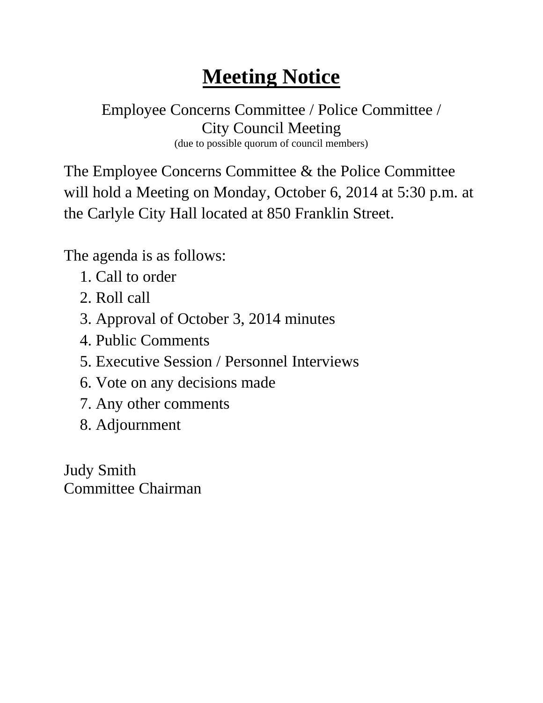Employee Concerns Committee / Police Committee / City Council Meeting (due to possible quorum of council members)

The Employee Concerns Committee & the Police Committee will hold a Meeting on Monday, October 6, 2014 at 5:30 p.m. at the Carlyle City Hall located at 850 Franklin Street.

The agenda is as follows:

- 1. Call to order
- 2. Roll call
- 3. Approval of October 3, 2014 minutes
- 4. Public Comments
- 5. Executive Session / Personnel Interviews
- 6. Vote on any decisions made
- 7. Any other comments
- 8. Adjournment

Judy Smith Committee Chairman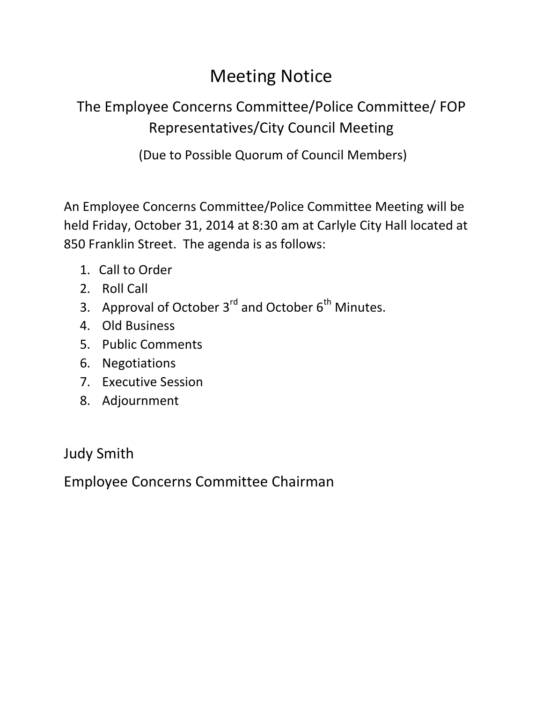#### The Employee Concerns Committee/Police Committee/ FOP Representatives/City Council Meeting

(Due to Possible Quorum of Council Members)

An Employee Concerns Committee/Police Committee Meeting will be held Friday, October 31, 2014 at 8:30 am at Carlyle City Hall located at 850 Franklin Street. The agenda is as follows:

- 1. Call to Order
- 2. Roll Call
- 3. Approval of October  $3^{rd}$  and October  $6^{th}$  Minutes.
- 4. Old Business
- 5. Public Comments
- 6. Negotiations
- 7. Executive Session
- 8. Adjournment

Judy Smith

Employee Concerns Committee Chairman